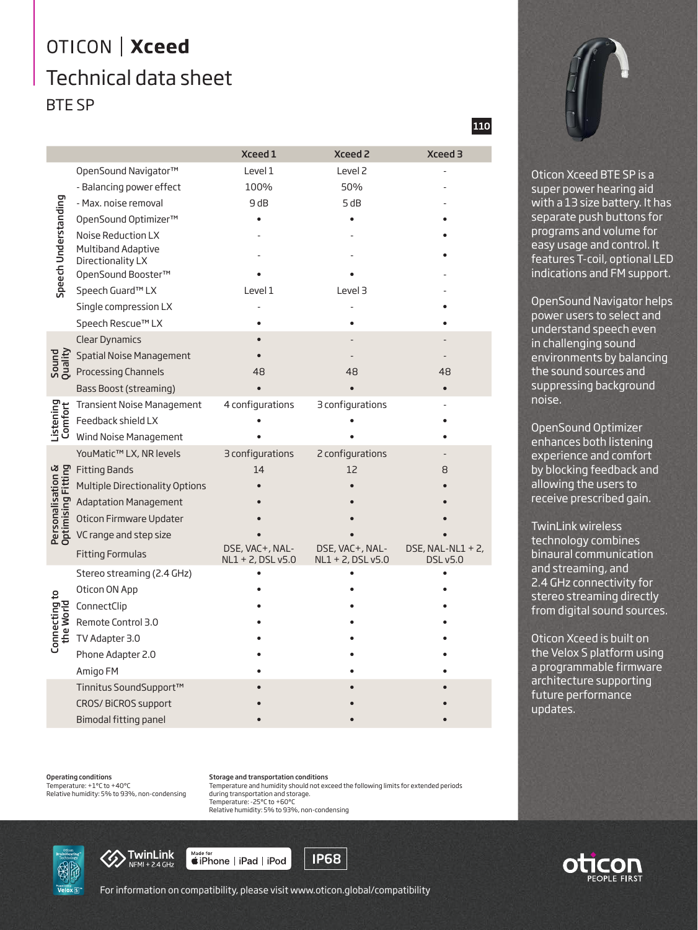## OTICON | Xceed Technical data sheet BTE SP

|                                         |                                         | Xceed 1           | <b>Xceed 2</b>       | <b>Xceed 3</b>       |
|-----------------------------------------|-----------------------------------------|-------------------|----------------------|----------------------|
| Speech Understanding                    | OpenSound Navigator™                    | Level 1           | Level <sub>2</sub>   |                      |
|                                         | - Balancing power effect                | 100%              | 50%                  |                      |
|                                         | - Max. noise removal                    | 9 dB              | 5 dB                 |                      |
|                                         | OpenSound Optimizer™                    |                   |                      |                      |
|                                         | Noise Reduction LX                      |                   |                      |                      |
|                                         | Multiband Adaptive                      |                   |                      |                      |
|                                         | Directionality LX<br>OpenSound Booster™ |                   |                      |                      |
|                                         | Speech Guard™ LX                        | Level 1           | Level 3              |                      |
|                                         | Single compression LX                   |                   |                      |                      |
|                                         | Speech Rescue™ LX                       |                   |                      |                      |
|                                         | <b>Clear Dynamics</b>                   |                   |                      |                      |
| Sound<br>Quality                        | Spatial Noise Management                |                   |                      |                      |
|                                         | Processing Channels                     | 48                | 48                   | 48                   |
|                                         | <b>Bass Boost (streaming)</b>           |                   |                      |                      |
| Listening<br>Comfort                    | <b>Transient Noise Management</b>       | 4 configurations  | 3 configurations     |                      |
|                                         | Feedback shield LX                      |                   |                      |                      |
|                                         | Wind Noise Management                   |                   |                      |                      |
| Personalisation &<br>Optimising Fitting | YouMatic™ LX, NR levels                 | 3 configurations  | 2 configurations     |                      |
|                                         | <b>Fitting Bands</b>                    | 14                | 12                   | 8                    |
|                                         | Multiple Directionality Options         |                   |                      |                      |
|                                         | <b>Adaptation Management</b>            |                   |                      |                      |
|                                         | Oticon Firmware Updater                 |                   |                      |                      |
|                                         | VC range and step size                  |                   |                      |                      |
|                                         |                                         | DSE, VAC+, NAL-   | DSE, VAC+, NAL-      | DSE, NAL-NL1 + $2$ , |
|                                         | <b>Fitting Formulas</b>                 | NL1 + 2, DSL v5.0 | $NL1 + 2$ , DSL v5.0 | <b>DSL v5.0</b>      |
| Connecting to<br>the World              | Stereo streaming (2.4 GHz)              |                   |                      |                      |
|                                         | Oticon ON App                           |                   |                      |                      |
|                                         | ConnectClip                             |                   |                      |                      |
|                                         | Remote Control 3.0                      |                   |                      |                      |
|                                         | TV Adapter 3.0                          |                   |                      |                      |
|                                         | Phone Adapter 2.0                       |                   |                      |                      |
|                                         | Amigo FM                                |                   |                      |                      |
|                                         | Tinnitus SoundSupport™                  |                   |                      |                      |
|                                         | CROS/BiCROS support                     |                   |                      |                      |
|                                         | Bimodal fitting panel                   |                   |                      |                      |

Operating conditions Temperature: +1°C to +40°C Relative humidity: 5% to 93%, non-condensing Storage and transportation conditions Temperature and humidity should not exceed the following limits for extended periods during transportation and storage. Temperature: -25°C to +60°C Relative humidity: 5% to 93%, non-condensing





Made for<br>■iPhone | iPad | iPod

**IP68** 

110



Oticon Xceed BTE SP is a super power hearing aid with a 13 size battery. It has separate push buttons for programs and volume for easy usage and control. It features T-coil, optional LED indications and FM support.

OpenSound Navigator helps power users to select and understand speech even in challenging sound environments by balancing the sound sources and suppressing background noise.

OpenSound Optimizer enhances both listening experience and comfort by blocking feedback and allowing the users to receive prescribed gain.

TwinLink wireless technology combines binaural communication and streaming, and 2.4 GHz connectivity for stereo streaming directly from digital sound sources.

Oticon Xceed is built on the Velox S platform using a programmable firmware architecture supporting future performance updates.



For information on compatibility, please visit www.oticon.global/compatibility